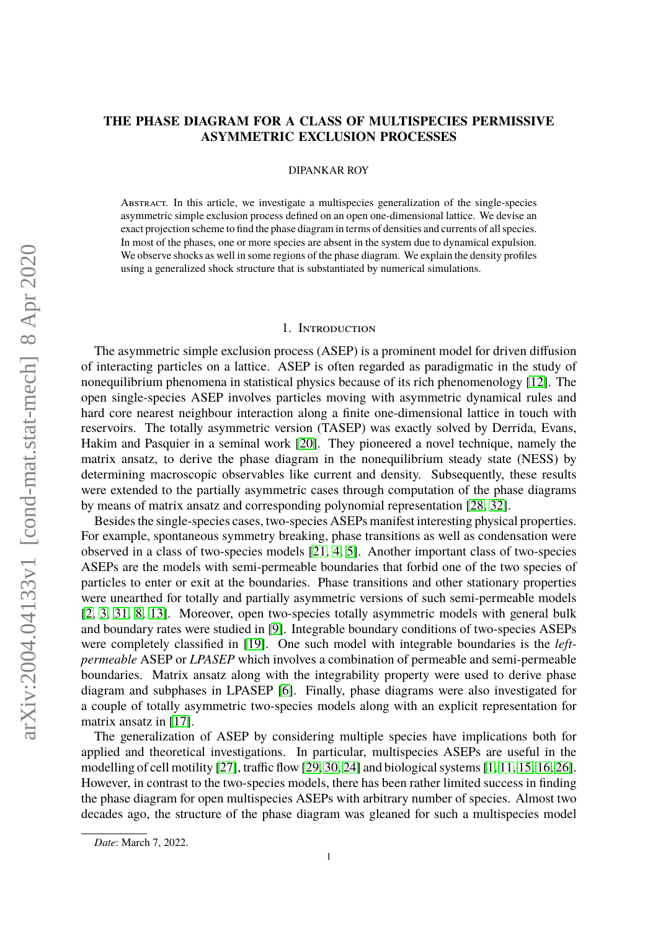# **THE PHASE DIAGRAM FOR A CLASS OF MULTISPECIES PERMISSIVE ASYMMETRIC EXCLUSION PROCESSES**

DIPANKAR ROY

Abstract. In this article, we investigate a multispecies generalization of the single-species asymmetric simple exclusion process defined on an open one-dimensional lattice. We devise an exact projection scheme to find the phase diagram in terms of densities and currents of all species. In most of the phases, one or more species are absent in the system due to dynamical expulsion. We observe shocks as well in some regions of the phase diagram. We explain the density profiles using a generalized shock structure that is substantiated by numerical simulations.

#### 1. Introduction

The asymmetric simple exclusion process (ASEP) is a prominent model for driven diffusion of interacting particles on a lattice. ASEP is often regarded as paradigmatic in the study of nonequilibrium phenomena in statistical physics because of its rich phenomenology [\[12\]](#page-14-0). The open single-species ASEP involves particles moving with asymmetric dynamical rules and hard core nearest neighbour interaction along a finite one-dimensional lattice in touch with reservoirs. The totally asymmetric version (TASEP) was exactly solved by Derrida, Evans, Hakim and Pasquier in a seminal work [\[20\]](#page-15-0). They pioneered a novel technique, namely the matrix ansatz, to derive the phase diagram in the nonequilibrium steady state (NESS) by determining macroscopic observables like current and density. Subsequently, these results were extended to the partially asymmetric cases through computation of the phase diagrams by means of matrix ansatz and corresponding polynomial representation [\[28,](#page-15-1) [32\]](#page-15-2).

Besides the single-species cases, two-species ASEPs manifest interesting physical properties. For example, spontaneous symmetry breaking, phase transitions as well as condensation were observed in a class of two-species models [\[21,](#page-15-3) [4,](#page-14-1) [5\]](#page-14-2). Another important class of two-species ASEPs are the models with semi-permeable boundaries that forbid one of the two species of particles to enter or exit at the boundaries. Phase transitions and other stationary properties were unearthed for totally and partially asymmetric versions of such semi-permeable models [\[2,](#page-14-3) [3,](#page-14-4) [31,](#page-15-4) [8,](#page-14-5) [13\]](#page-14-6). Moreover, open two-species totally asymmetric models with general bulk and boundary rates were studied in [\[9\]](#page-14-7). Integrable boundary conditions of two-species ASEPs were completely classified in [\[19\]](#page-15-5). One such model with integrable boundaries is the *leftpermeable* ASEP or *LPASEP* which involves a combination of permeable and semi-permeable boundaries. Matrix ansatz along with the integrability property were used to derive phase diagram and subphases in LPASEP [\[6\]](#page-14-8). Finally, phase diagrams were also investigated for a couple of totally asymmetric two-species models along with an explicit representation for matrix ansatz in [\[17\]](#page-14-9).

The generalization of ASEP by considering multiple species have implications both for applied and theoretical investigations. In particular, multispecies ASEPs are useful in the modelling of cell motility [\[27\]](#page-15-6), traffic flow [\[29,](#page-15-7) [30,](#page-15-8) [24\]](#page-15-9) and biological systems [\[1,](#page-14-10) [11,](#page-14-11) [15,](#page-14-12) [16,](#page-14-13) [26\]](#page-15-10). However, in contrast to the two-species models, there has been rather limited success in finding the phase diagram for open multispecies ASEPs with arbitrary number of species. Almost two decades ago, the structure of the phase diagram was gleaned for such a multispecies model

*Date*: March 7, 2022.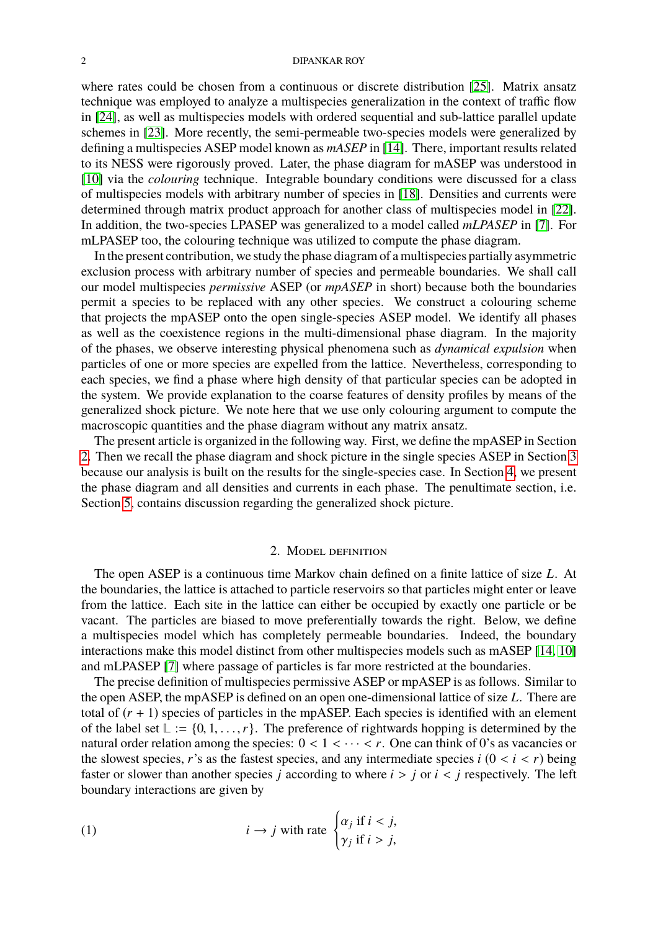where rates could be chosen from a continuous or discrete distribution [\[25\]](#page-15-11). Matrix ansatz technique was employed to analyze a multispecies generalization in the context of traffic flow in [\[24\]](#page-15-9), as well as multispecies models with ordered sequential and sub-lattice parallel update schemes in [\[23\]](#page-15-12). More recently, the semi-permeable two-species models were generalized by defining a multispecies ASEP model known as *mASEP* in [\[14\]](#page-14-14). There, important results related to its NESS were rigorously proved. Later, the phase diagram for mASEP was understood in [\[10\]](#page-14-15) via the *colouring* technique. Integrable boundary conditions were discussed for a class of multispecies models with arbitrary number of species in [\[18\]](#page-15-13). Densities and currents were determined through matrix product approach for another class of multispecies model in [\[22\]](#page-15-14). In addition, the two-species LPASEP was generalized to a model called *mLPASEP* in [\[7\]](#page-14-16). For mLPASEP too, the colouring technique was utilized to compute the phase diagram.

In the present contribution, we study the phase diagram of a multispecies partially asymmetric exclusion process with arbitrary number of species and permeable boundaries. We shall call our model multispecies *permissive* ASEP (or *mpASEP* in short) because both the boundaries permit a species to be replaced with any other species. We construct a colouring scheme that projects the mpASEP onto the open single-species ASEP model. We identify all phases as well as the coexistence regions in the multi-dimensional phase diagram. In the majority of the phases, we observe interesting physical phenomena such as *dynamical expulsion* when particles of one or more species are expelled from the lattice. Nevertheless, corresponding to each species, we find a phase where high density of that particular species can be adopted in the system. We provide explanation to the coarse features of density profiles by means of the generalized shock picture. We note here that we use only colouring argument to compute the macroscopic quantities and the phase diagram without any matrix ansatz.

The present article is organized in the following way. First, we define the mpASEP in Section [2.](#page-1-0) Then we recall the phase diagram and shock picture in the single species ASEP in Section [3](#page-2-0) because our analysis is built on the results for the single-species case. In Section [4,](#page-4-0) we present the phase diagram and all densities and currents in each phase. The penultimate section, i.e. Section [5,](#page-11-0) contains discussion regarding the generalized shock picture.

## 2. Model definition

<span id="page-1-0"></span>The open ASEP is a continuous time Markov chain defined on a finite lattice of size *L*. At the boundaries, the lattice is attached to particle reservoirs so that particles might enter or leave from the lattice. Each site in the lattice can either be occupied by exactly one particle or be vacant. The particles are biased to move preferentially towards the right. Below, we define a multispecies model which has completely permeable boundaries. Indeed, the boundary interactions make this model distinct from other multispecies models such as mASEP [\[14,](#page-14-14) [10\]](#page-14-15) and mLPASEP [\[7\]](#page-14-16) where passage of particles is far more restricted at the boundaries.

The precise definition of multispecies permissive ASEP or mpASEP is as follows. Similar to the open ASEP, the mpASEP is defined on an open one-dimensional lattice of size *L*. There are total of  $(r + 1)$  species of particles in the mpASEP. Each species is identified with an element of the label set  $\mathbb{L} := \{0, 1, \ldots, r\}$ . The preference of rightwards hopping is determined by the natural order relation among the species:  $0 < 1 < \cdots < r$ . One can think of 0's as vacancies or the slowest species, *r*'s as the fastest species, and any intermediate species  $i$  ( $0 < i < r$ ) being faster or slower than another species *j* according to where  $i > j$  or  $i < j$  respectively. The left boundary interactions are given by

(1) 
$$
i \rightarrow j
$$
 with rate 
$$
\begin{cases} \alpha_j \text{ if } i < j, \\ \gamma_j \text{ if } i > j, \end{cases}
$$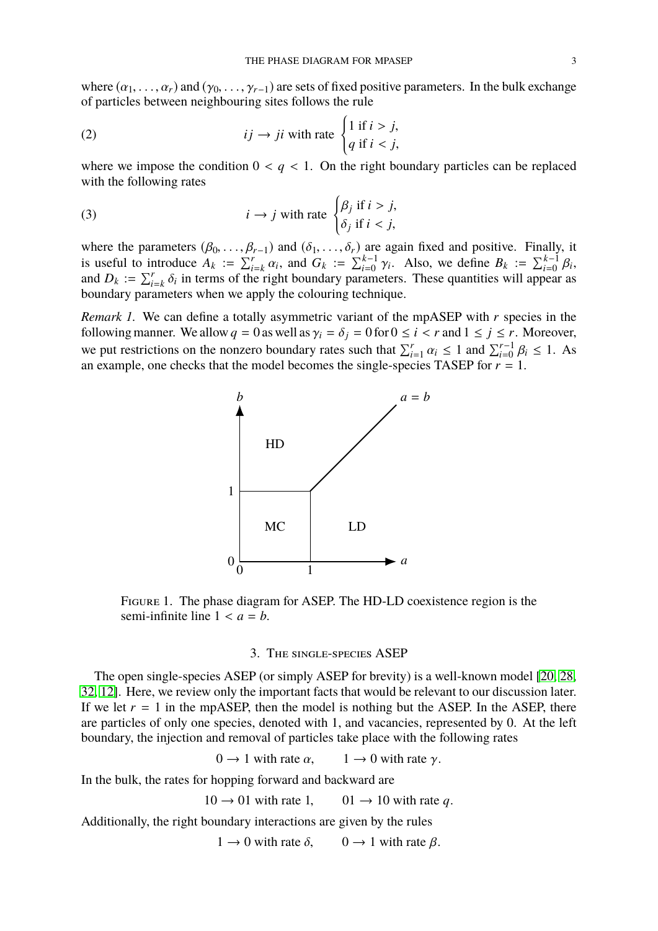where  $(\alpha_1, \ldots, \alpha_r)$  and  $(\gamma_0, \ldots, \gamma_{r-1})$  are sets of fixed positive parameters. In the bulk exchange of particles between neighbouring sites follows the rule

(2) 
$$
ij \to ji \text{ with rate } \begin{cases} 1 \text{ if } i > j, \\ q \text{ if } i < j, \end{cases}
$$

where we impose the condition  $0 < q < 1$ . On the right boundary particles can be replaced with the following rates

(3) 
$$
i \rightarrow j
$$
 with rate 
$$
\begin{cases} \beta_j & \text{if } i > j, \\ \delta_j & \text{if } i < j, \end{cases}
$$

where the parameters  $(\beta_0, ..., \beta_{r-1})$  and  $(\delta_1, ..., \delta_r)$  are again fixed and positive. Finally, it<br>is useful to introduce  $A_k := \sum_{i=k}^r \alpha_i$ , and  $G_k := \sum_{i=0}^{k-1} \gamma_i$ . Also, we define  $B_k := \sum_{i=0}^{k-1} \beta_i$ ,<br>and  $D_k := \sum_{i=0}^r \delta_i$ and  $D_k := \sum_{i=k}^r \delta_i$  in terms of the right boundary parameters. These quantities will appear as boundary parameters when we apply the colouring technique boundary parameters when we apply the colouring technique.

*Remark 1.* We can define a totally asymmetric variant of the mpASEP with *r* species in the following manner. We allow  $q = 0$  as well as  $\gamma_i = \delta_i = 0$  for  $0 \le i < r$  and  $1 \le j \le r$ . Moreover, we put restrictions on the nonzero boundary rates such that  $\sum_{i=1}^{r} \alpha_i \le 1$  and  $\sum_{i=0}^{r-1} \beta_i \le 1$ . As an example, one checks that the model becomes the single-species TASEP for  $r - 1$ an example, one checks that the model becomes the single-species TASEP for  $r = 1$ .



<span id="page-2-1"></span>Figure 1. The phase diagram for ASEP. The HD-LD coexistence region is the semi-infinite line  $1 < a = b$ .

## 3. The single-species ASEP

<span id="page-2-0"></span>The open single-species ASEP (or simply ASEP for brevity) is a well-known model [\[20,](#page-15-0) [28,](#page-15-1) [32,](#page-15-2) [12\]](#page-14-0). Here, we review only the important facts that would be relevant to our discussion later. If we let  $r = 1$  in the mpASEP, then the model is nothing but the ASEP. In the ASEP, there are particles of only one species, denoted with 1, and vacancies, represented by 0. At the left boundary, the injection and removal of particles take place with the following rates

 $0 \rightarrow 1$  with rate  $\alpha$ ,  $1 \rightarrow 0$  with rate  $\gamma$ .

In the bulk, the rates for hopping forward and backward are

 $10 \rightarrow 01$  with rate 1,  $01 \rightarrow 10$  with rate q.

Additionally, the right boundary interactions are given by the rules

 $1 \rightarrow 0$  with rate  $\delta$ ,  $0 \rightarrow 1$  with rate  $\beta$ .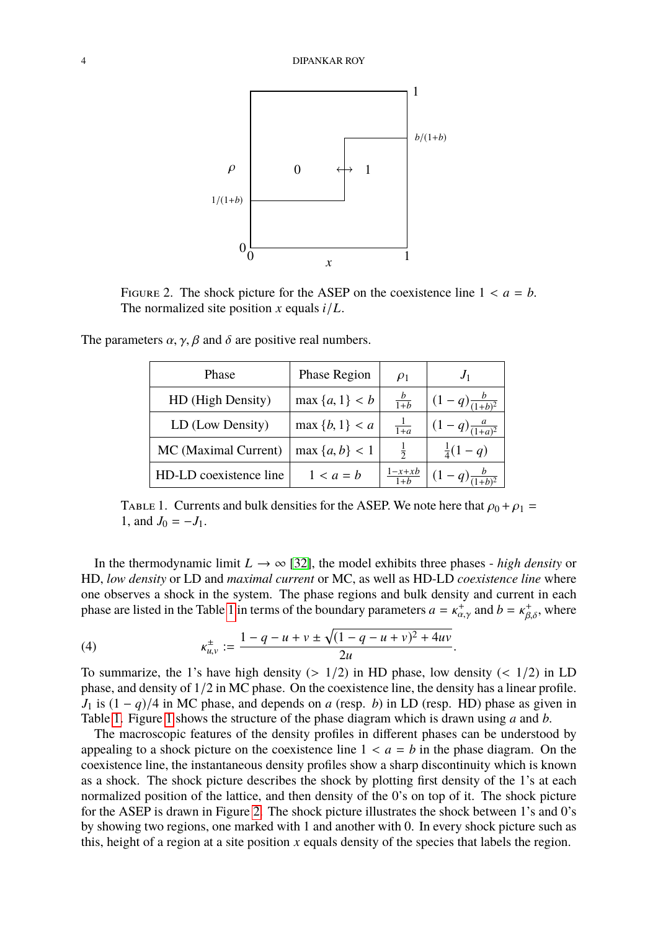

<span id="page-3-1"></span>FIGURE 2. The shock picture for the ASEP on the coexistence line  $1 < a = b$ . The normalized site position *x* equals *i*/*L*.

| Phase                  | <b>Phase Region</b> | $\rho_1$          | J <sub>1</sub>           |
|------------------------|---------------------|-------------------|--------------------------|
| HD (High Density)      | $\max\{a,1\} < b$   | $rac{b}{1+b}$     | $(1-q)\frac{b}{(1+b)^2}$ |
| LD (Low Density)       | $\max \{b, 1\} < a$ | $\frac{1}{1+a}$   | $(1-q)\frac{a}{(1+a)^2}$ |
| MC (Maximal Current)   | $\max\{a,b\}$ < 1   | $\frac{1}{2}$     | $rac{1}{4}(1-q)$         |
| HD-LD coexistence line | $1 < a = b$         | $\frac{1-x+xb}{}$ | $(1-q)\frac{b}{(1+b)^2}$ |

The parameters  $\alpha$ ,  $\gamma$ ,  $\beta$  and  $\delta$  are positive real numbers.

<span id="page-3-0"></span>TABLE 1. Currents and bulk densities for the ASEP. We note here that  $\rho_0 + \rho_1 =$ 1, and  $J_0 = -J_1$ .

In the thermodynamic limit  $L \rightarrow \infty$  [\[32\]](#page-15-2), the model exhibits three phases - *high density* or HD, *low density* or LD and *maximal current* or MC, as well as HD-LD *coexistence line* where one observes a shock in the system. The phase regions and bulk density and current in each phase are listed in the Table [1](#page-3-0) in terms of the boundary parameters  $a = \kappa_{\alpha,\gamma}^+$  and  $b = \kappa_{\beta,\delta}^+$ , where

(4) 
$$
\kappa_{u,v}^{\pm} := \frac{1 - q - u + v \pm \sqrt{(1 - q - u + v)^2 + 4uv}}{2u}.
$$

To summarize, the 1's have high density  $(> 1/2)$  in HD phase, low density  $(< 1/2)$  in LD phase, and density of 1/2 in MC phase. On the coexistence line, the density has a linear profile. *J*<sub>1</sub> is  $(1 - q)/4$  in MC phase, and depends on *a* (resp. *b*) in LD (resp. HD) phase as given in Table [1.](#page-3-0) Figure [1](#page-2-1) shows the structure of the phase diagram which is drawn using *a* and *b*.

The macroscopic features of the density profiles in different phases can be understood by appealing to a shock picture on the coexistence line  $1 < a = b$  in the phase diagram. On the coexistence line, the instantaneous density profiles show a sharp discontinuity which is known as a shock. The shock picture describes the shock by plotting first density of the 1's at each normalized position of the lattice, and then density of the 0's on top of it. The shock picture for the ASEP is drawn in Figure [2.](#page-3-1) The shock picture illustrates the shock between 1's and 0's by showing two regions, one marked with 1 and another with 0. In every shock picture such as this, height of a region at a site position  $x$  equals density of the species that labels the region.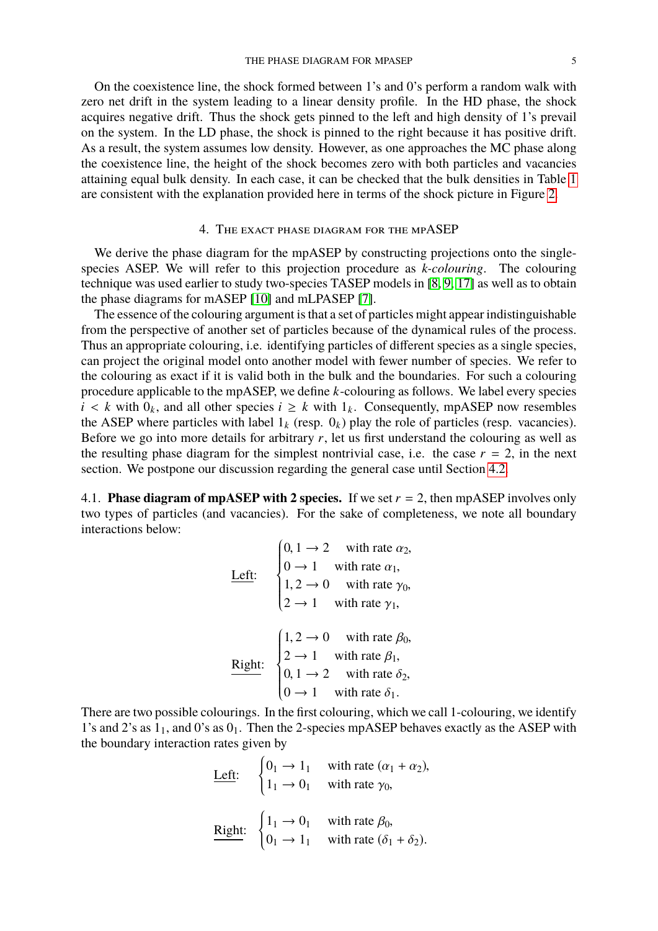On the coexistence line, the shock formed between 1's and 0's perform a random walk with zero net drift in the system leading to a linear density profile. In the HD phase, the shock acquires negative drift. Thus the shock gets pinned to the left and high density of 1's prevail on the system. In the LD phase, the shock is pinned to the right because it has positive drift. As a result, the system assumes low density. However, as one approaches the MC phase along the coexistence line, the height of the shock becomes zero with both particles and vacancies attaining equal bulk density. In each case, it can be checked that the bulk densities in Table [1](#page-3-0) are consistent with the explanation provided here in terms of the shock picture in Figure [2.](#page-3-1)

### 4. The exact phase diagram for the mpASEP

<span id="page-4-0"></span>We derive the phase diagram for the mpASEP by constructing projections onto the singlespecies ASEP. We will refer to this projection procedure as *k-colouring*. The colouring technique was used earlier to study two-species TASEP models in [\[8,](#page-14-5) [9,](#page-14-7) [17\]](#page-14-9) as well as to obtain the phase diagrams for mASEP [\[10\]](#page-14-15) and mLPASEP [\[7\]](#page-14-16).

The essence of the colouring argument is that a set of particles might appear indistinguishable from the perspective of another set of particles because of the dynamical rules of the process. Thus an appropriate colouring, i.e. identifying particles of different species as a single species, can project the original model onto another model with fewer number of species. We refer to the colouring as exact if it is valid both in the bulk and the boundaries. For such a colouring procedure applicable to the mpASEP, we define *k*-colouring as follows. We label every species  $i < k$  with  $0_k$ , and all other species  $i \geq k$  with  $1_k$ . Consequently, mpASEP now resembles the ASEP where particles with label  $1_k$  (resp.  $0_k$ ) play the role of particles (resp. vacancies). Before we go into more details for arbitrary  $r$ , let us first understand the colouring as well as the resulting phase diagram for the simplest nontrivial case, i.e. the case  $r = 2$ , in the next section. We postpone our discussion regarding the general case until Section [4.2.](#page-7-0)

4.1. **Phase diagram of mpASEP with 2 species.** If we set  $r = 2$ , then mpASEP involves only two types of particles (and vacancies). For the sake of completeness, we note all boundary interactions below:

| Left:  | \n $\begin{cases}\n 0, 1 \rightarrow 2 & \text{with rate } \alpha_2, \\  0 \rightarrow 1 & \text{with rate } \alpha_1, \\  1, 2 \rightarrow 0 & \text{with rate } \gamma_0, \\  2 \rightarrow 1 & \text{with rate } \gamma_1,\n \end{cases}$ \n |
|--------|-------------------------------------------------------------------------------------------------------------------------------------------------------------------------------------------------------------------------------------------------|
| Right: | \n $\begin{cases}\n 1, 2 \rightarrow 0 & \text{with rate } \beta_0, \\  2 \rightarrow 1 & \text{with rate } \beta_1, \\  0, 1 \rightarrow 2 & \text{with rate } \delta_2, \\  0 \rightarrow 1 & \text{with rate } \delta_1.\n \end{cases}$ \n   |

There are two possible colourings. In the first colouring, which we call 1-colouring, we identify 1's and 2's as  $1<sub>1</sub>$ , and 0's as  $0<sub>1</sub>$ . Then the 2-species mpASEP behaves exactly as the ASEP with the boundary interaction rates given by

| Left:  | \n $\begin{cases}\n 0_1 \rightarrow 1_1 & \text{with rate } (\alpha_1 + \alpha_2), \\  1_1 \rightarrow 0_1 & \text{with rate } \gamma_0,\n \end{cases}$ \n |
|--------|------------------------------------------------------------------------------------------------------------------------------------------------------------|
| Right: | \n $\begin{cases}\n 1_1 \rightarrow 0_1 & \text{with rate } \beta_0, \\  0_1 \rightarrow 1_1 & \text{with rate } (\delta_1 + \delta_2).\n \end{cases}$ \n  |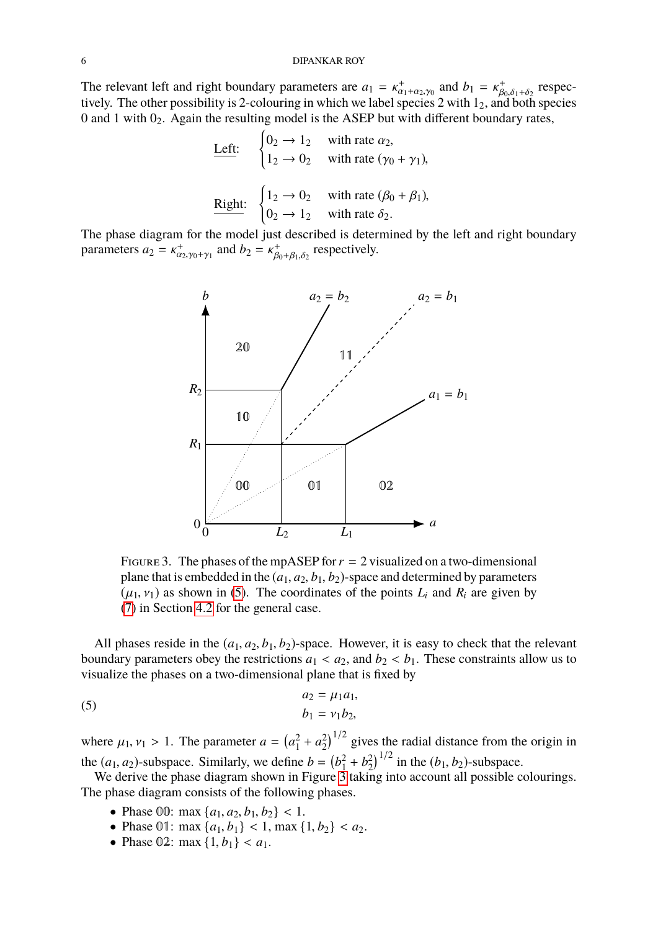The relevant left and right boundary parameters are  $a_1 = \kappa_{\alpha_1 + \alpha_2, \gamma_0}^+$  and  $b_1 = \kappa_{\beta_0, \delta_1 + \delta_2}^+$  respectively. The other possibility is 2 colouring in which we label species 2 with 1s, and both species File relevant left and right boundary parameters are  $a_1 = x_{\alpha_1 + \alpha_2, \gamma_0}$  and  $b_1 = x_{\beta_0, \delta_1 + \delta_2}$  respectively. The other possibility is 2-colouring in which we label species 2 with 1<sub>2</sub>, and both species 0 and 1 with  $0<sub>2</sub>$ . Again the resulting model is the ASEP but with different boundary rates,

| Left:  | \n $\begin{cases}\n 0_2 \rightarrow 1_2 & \text{with rate } \alpha_2, \\  1_2 \rightarrow 0_2 & \text{with rate } (\gamma_0 + \gamma_1),\n \end{cases}$ \n |
|--------|------------------------------------------------------------------------------------------------------------------------------------------------------------|
| Right: | \n $\begin{cases}\n 1_2 \rightarrow 0_2 & \text{with rate } (\beta_0 + \beta_1), \\  0_2 \rightarrow 1_2 & \text{with rate } \delta_2.\n \end{cases}$ \n   |

The phase diagram for the model just described is determined by the left and right boundary parameters  $a_2 = \kappa_{\alpha_2, \gamma_0 + \gamma_1}^+$  and  $b_2 = \kappa_{\beta_0}^+$  $\beta_{0}^+$ ,  $\beta_{1}, \delta_2$  respectively.



<span id="page-5-1"></span>FIGURE 3. The phases of the mpASEP for  $r = 2$  visualized on a two-dimensional plane that is embedded in the  $(a_1, a_2, b_1, b_2)$ -space and determined by parameters  $(\mu_1, \nu_1)$  as shown in [\(5\)](#page-5-0). The coordinates of the points  $L_i$  and  $R_i$  are given by [\(7\)](#page-8-0) in Section [4.2](#page-7-0) for the general case.

All phases reside in the  $(a_1, a_2, b_1, b_2)$ -space. However, it is easy to check that the relevant boundary parameters obey the restrictions  $a_1 < a_2$ , and  $b_2 < b_1$ . These constraints allow us to visualize the phases on a two-dimensional plane that is fixed by

<span id="page-5-0"></span>(5) 
$$
a_2 = \mu_1 a_1, b_1 = v_1 b_2,
$$

where  $\mu_1, \nu_1 > 1$ . The parameter  $a = (a_1^2)$  $a_1^2 + a_2^2$  $\binom{2}{2}^{1/2}$  gives the radial distance from the origin in the  $(a_1, a_2)$ -subspace. Similarly, we define  $b = \begin{pmatrix} b_1^2 \\ b_2^2 \end{pmatrix}$ <br>We derive the phase diagram shown in Figure 3  $b_1^2 + b_2^2$  $\binom{2}{2}^{1/2}$  in the  $(b_1, b_2)$ -subspace.

We derive the phase diagram shown in Figure  $\overline{3}$  taking into account all possible colourings. The phase diagram consists of the following phases.

- Phase 00: max  $\{a_1, a_2, b_1, b_2\}$  < 1.
- Phase 01: max  $\{a_1, b_1\}$  < 1, max  $\{1, b_2\}$  <  $a_2$ .
- Phase 02: max  $\{1, b_1\} < a_1$ .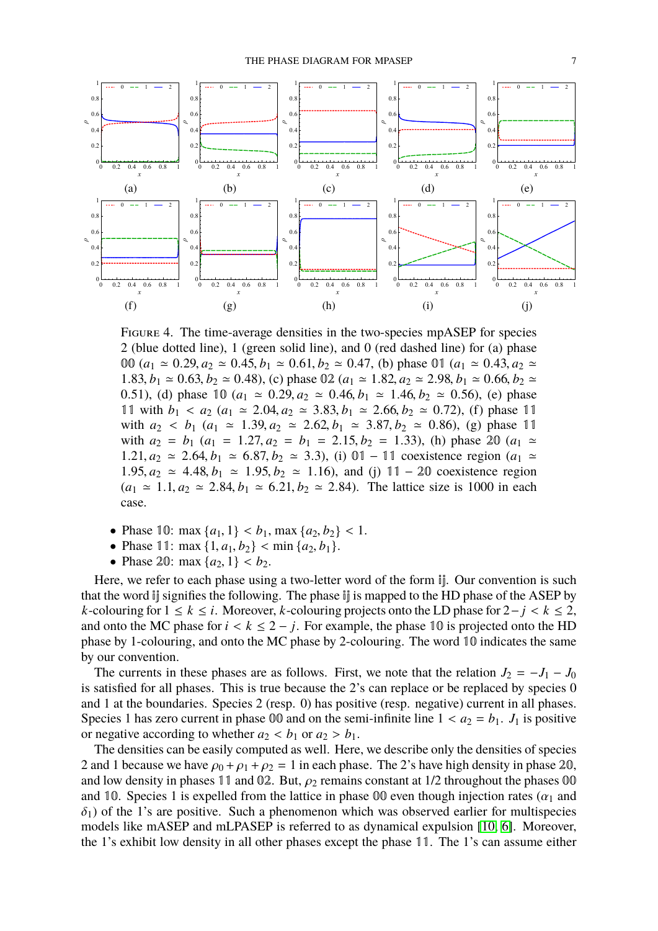

<span id="page-6-0"></span>Figure 4. The time-average densities in the two-species mpASEP for species 2 (blue dotted line), 1 (green solid line), and 0 (red dashed line) for (a) phase 00 ( $a_1 \approx 0.29, a_2 \approx 0.45, b_1 \approx 0.61, b_2 \approx 0.47$ , (b) phase 01 ( $a_1 \approx 0.43, a_2 \approx$ 1.83,  $b_1 \approx 0.63$ ,  $b_2 \approx 0.48$ ), (c) phase 02 ( $a_1 \approx 1.82$ ,  $a_2 \approx 2.98$ ,  $b_1 \approx 0.66$ ,  $b_2 \approx$ 0.51), (d) phase  $10 (a_1 \approx 0.29, a_2 \approx 0.46, b_1 \approx 1.46, b_2 \approx 0.56)$ , (e) phase 11 with  $b_1 < a_2$  ( $a_1 \approx 2.04$ ,  $a_2 \approx 3.83$ ,  $b_1 \approx 2.66$ ,  $b_2 \approx 0.72$ ), (f) phase 11 with  $a_2 < b_1$  ( $a_1 \approx 1.39$ ,  $a_2 \approx 2.62$ ,  $b_1 \approx 3.87$ ,  $b_2 \approx 0.86$ ), (g) phase 11 with  $a_2 = b_1$  ( $a_1 = 1.27, a_2 = b_1 = 2.15, b_2 = 1.33$ ), (h) phase 20 ( $a_1 \approx$ 1.21,  $a_2$   $\approx$  2.64,  $b_1$   $\approx$  6.87,  $b_2$   $\approx$  3.3), (i) 01 − 11 coexistence region ( $a_1$   $\approx$ 1.95,  $a_2 \approx 4.48$ ,  $b_1 \approx 1.95$ ,  $b_2 \approx 1.16$ ), and (j) 11 – 20 coexistence region  $(a_1 \approx 1.1, a_2 \approx 2.84, b_1 \approx 6.21, b_2 \approx 2.84)$ . The lattice size is 1000 in each case.

- Phase 10: max  $\{a_1, 1\} < b_1$ , max  $\{a_2, b_2\} < 1$ .
- Phase 11: max  $\{1, a_1, b_2\}$  < min  $\{a_2, b_1\}$ .
- Phase 20: max  $\{a_2, 1\} < b_2$ .

Here, we refer to each phase using a two-letter word of the form  $\mathbb{I}$ . Our convention is such that the word ij signifies the following. The phase ij is mapped to the HD phase of the ASEP by *k*-colouring for  $1 \le k \le i$ . Moreover, *k*-colouring projects onto the LD phase for  $2-j < k \le 2$ , and onto the MC phase for  $i < k \le 2 - j$ . For example, the phase 10 is projected onto the HD phase by 1-colouring, and onto the MC phase by 2-colouring. The word 10 indicates the same by our convention.

The currents in these phases are as follows. First, we note that the relation  $J_2 = -J_1 - J_0$ is satisfied for all phases. This is true because the 2's can replace or be replaced by species 0 and 1 at the boundaries. Species 2 (resp. 0) has positive (resp. negative) current in all phases. Species 1 has zero current in phase 00 and on the semi-infinite line  $1 < a_2 = b_1$ .  $J_1$  is positive or negative according to whether  $a_2 < b_1$  or  $a_2 > b_1$ .

The densities can be easily computed as well. Here, we describe only the densities of species 2 and 1 because we have  $\rho_0 + \rho_1 + \rho_2 = 1$  in each phase. The 2's have high density in phase 20, and low density in phases 11 and 02. But,  $\rho_2$  remains constant at 1/2 throughout the phases 00 and 10. Species 1 is expelled from the lattice in phase 00 even though injection rates ( $\alpha_1$  and  $\delta_1$ ) of the 1's are positive. Such a phenomenon which was observed earlier for multispecies models like mASEP and mLPASEP is referred to as dynamical expulsion [\[10,](#page-14-15) [6\]](#page-14-8). Moreover, the 1's exhibit low density in all other phases except the phase 11. The 1's can assume either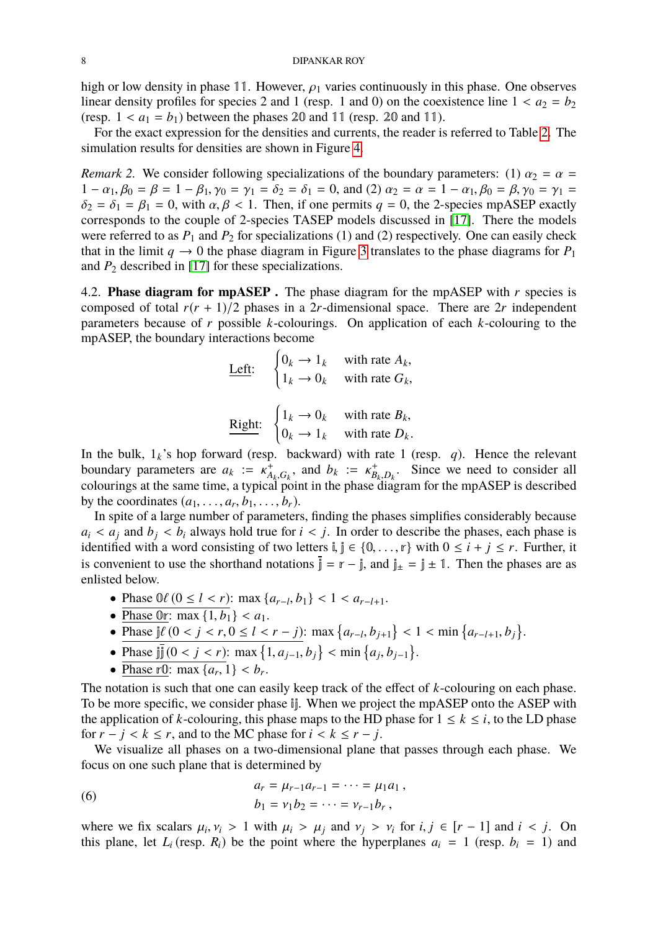high or low density in phase 11. However,  $\rho_1$  varies continuously in this phase. One observes linear density profiles for species 2 and 1 (resp. 1 and 0) on the coexistence line  $1 < a_2 = b_2$ (resp.  $1 < a_1 = b_1$ ) between the phases 20 and 11 (resp. 20 and 11).

For the exact expression for the densities and currents, the reader is referred to Table [2.](#page-10-0) The simulation results for densities are shown in Figure [4.](#page-6-0)

*Remark 2.* We consider following specializations of the boundary parameters: (1)  $\alpha_2 = \alpha$  =  $1 - \alpha_1, \beta_0 = \beta = 1 - \beta_1, \gamma_0 = \gamma_1 = \delta_2 = \delta_1 = 0$ , and (2)  $\alpha_2 = \alpha = 1 - \alpha_1, \beta_0 = \beta, \gamma_0 = \gamma_1 = \gamma_1$  $\delta_2 = \delta_1 = \beta_1 = 0$ , with  $\alpha, \beta < 1$ . Then, if one permits  $q = 0$ , the 2-species mpASEP exactly corresponds to the couple of 2-species TASEP models discussed in [\[17\]](#page-14-9). There the models were referred to as  $P_1$  and  $P_2$  for specializations (1) and (2) respectively. One can easily check that in the limit  $q \rightarrow 0$  the phase diagram in Figure [3](#page-5-1) translates to the phase diagrams for  $P_1$ and  $P_2$  described in [\[17\]](#page-14-9) for these specializations.

<span id="page-7-0"></span>4.2. **Phase diagram for mpASEP .** The phase diagram for the mpASEP with *r* species is composed of total  $r(r + 1)/2$  phases in a 2*r*-dimensional space. There are 2*r* independent parameters because of *r* possible *k*-colourings. On application of each *k*-colouring to the mpASEP, the boundary interactions become

Left: 
$$
\begin{cases} 0_k \to 1_k & \text{with rate } A_k, \\ 1_k \to 0_k & \text{with rate } G_k, \end{cases}
$$
  
\nRight: 
$$
\begin{cases} 1_k \to 0_k & \text{with rate } B_k, \\ 0 & \text{otherwise, } D \end{cases}
$$

 $0_k \rightarrow 1_k$  with rate  $D_k$ . In the bulk,  $1_k$ 's hop forward (resp. backward) with rate 1 (resp. *q*). Hence the relevant boundary parameters are  $a_k := \kappa_A^+$ <br>colourings at the same time, a typical  $A_k, G_k$ , and  $b_k := \kappa_B^+$ <br>al point in the phase  $B_{k}$ ,  $D_{k}$ . Since we need to consider all<br> **P** diagram for the mnASFP is described colourings at the same time, a typical point in the phase diagram for the mpASEP is described by the coordinates  $(a_1, \ldots, a_r, b_1, \ldots, b_r)$ .<br>In spite of a large number of parameter

In spite of a large number of parameters, finding the phases simplifies considerably because  $a_i < a_j$  and  $b_i < b_i$  always hold true for  $i < j$ . In order to describe the phases, each phase is identified with a word consisting of two letters  $\mathbf{i}, \mathbf{j} \in \{0, \ldots, r\}$  with  $0 \leq i + j \leq r$ . Further, it is convenient to use the shorthand notations  $\bar{j} = r - j$ , and  $j_{\pm} = j \pm 1$ . Then the phases are as enlisted below.

- Phase  $0\ell$  ( $0 \le l < r$ ): max  $\{a_{r-l}, b_1\} < 1 < a_{r-l+1}$ .
- Phase 0r: max  $\{1, b_1\} < a_1$ .
- Phase  $j\ell$   $(0 < j < r, 0 \le l < r j)$ : max  $\{a_{r-l}, b_{j+1}\} < 1 < \min\{a_{r-l+1}, b_j\}$ .
- Phase  $\iint_{0}^{\infty} (0 < j < r)$ : max  $\{1, a_{j-1}, b_{j}\} < \min\{a_{j}, b_{j-1}\}.$ <br>
Phase  $\kappa$ <sup>0</sup>): may  $\{\alpha, 1\} < b$
- <u>Phase r<sub>0</sub></u>: max { $a_r$ , 1} <  $b_r$ .

The notation is such that one can easily keep track of the effect of *k*-colouring on each phase. To be more specific, we consider phase ij. When we project the mpASEP onto the ASEP with the application of *k*-colouring, this phase maps to the HD phase for  $1 \le k \le i$ , to the LD phase for  $r - j < k \le r$ , and to the MC phase for  $i < k \le r - j$ .

We visualize all phases on a two-dimensional plane that passes through each phase. We focus on one such plane that is determined by

(6) 
$$
a_r = \mu_{r-1} a_{r-1} = \cdots = \mu_1 a_1, b_1 = \nu_1 b_2 = \cdots = \nu_{r-1} b_r,
$$

where we fix scalars  $\mu_i$ ,  $\nu_i > 1$  with  $\mu_i > \mu_j$  and  $\nu_j > \nu_i$  for  $i, j \in [r-1]$  and  $i < j$ . On this plane, let *I* (resp. *R*) be the point where the hyperplanes  $a_i = 1$  (resp. *b*<sub>i</sub> = 1) and this plane, let  $L_i$  (resp.  $R_i$ ) be the point where the hyperplanes  $a_i = 1$  (resp.  $b_i = 1$ ) and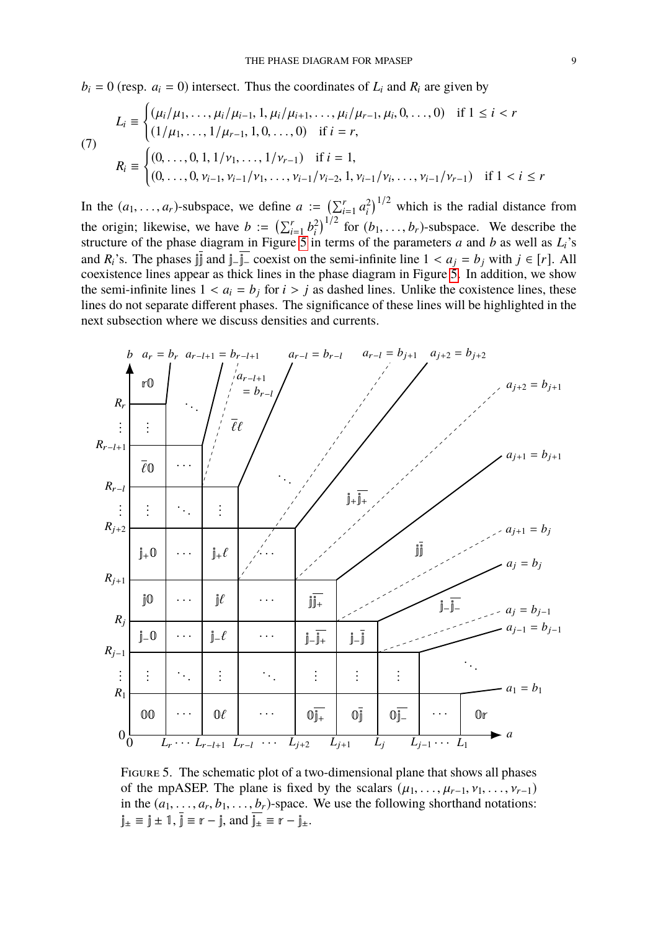$b_i = 0$  (resp.  $a_i = 0$ ) intersect. Thus the coordinates of  $L_i$  and  $R_i$  are given by

<span id="page-8-0"></span>
$$
L_i \equiv \begin{cases} (\mu_i/\mu_1, \dots, \mu_i/\mu_{i-1}, 1, \mu_i/\mu_{i+1}, \dots, \mu_i/\mu_{r-1}, \mu_i, 0, \dots, 0) & \text{if } 1 \le i < r \\ (1/\mu_1, \dots, 1/\mu_{r-1}, 1, 0, \dots, 0) & \text{if } i = r, \end{cases}
$$
\n
$$
R_i \equiv \begin{cases} (0, \dots, 0, 1, 1/\nu_1, \dots, 1/\nu_{r-1}) & \text{if } i = 1, \\ (0, \dots, 0, \nu_{i-1}, \nu_{i-1}/\nu_1, \dots, \nu_{i-1}/\nu_{i-2}, 1, \nu_{i-1}/\nu_i, \dots, \nu_{i-1}/\nu_{r-1}) & \text{if } 1 < i \le r \end{cases}
$$

In the  $(a_1, ..., a_r)$ -subspace, we define  $a := \left(\sum_{i=1}^r a_i^2\right)$  $\binom{2}{i}$ <sup>1/2</sup> which is the radial distance from the origin; likewise, we have  $b := \left(\sum_{i=1}^r b_i^2\right)$ the origin; likewise, we have  $b := (\sum_{i=1}^r b_i^2)^{1/2}$  for  $(b_1, \ldots, b_r)$ -subspace. We describe the structure of the phase diagram in Figure [5](#page-8-1) in terms of the parameters *a* and *b* as well as  $L_i$ 's and  $R_i$ 's. The phases  $\lim_{n \to \infty} \frac{1}{n}$  coexist on the semi-infinite line  $1 < a_i = b_i$  with  $j \in [r]$ . All coexistence lines appear as thick lines in the phase diagram in Figure [5.](#page-8-1) In addition, we show the semi-infinite lines  $1 < a_i = b_j$  for  $i > j$  as dashed lines. Unlike the coxistence lines, these lines do not separate different phases. The significance of these lines will be highlighted in the next subsection where we discuss densities and currents.



<span id="page-8-1"></span>Figure 5. The schematic plot of a two-dimensional plane that shows all phases of the mpASEP. The plane is fixed by the scalars  $(\mu_1, \ldots, \mu_{r-1}, \nu_1, \ldots, \nu_{r-1})$ in the  $(a_1, \ldots, a_r, b_1, \ldots, b_r)$ -space. We use the following shorthand notations:<br> $\frac{a}{b} = \frac{a}{b} + 1 = \frac{a}{b} = r - \frac{a}{c}$  $j_{\pm} \equiv j \pm 1$ ,  $\overline{j} \equiv r - j$ , and  $\overline{j_{\pm}} \equiv \overline{r} - j_{\pm}$ .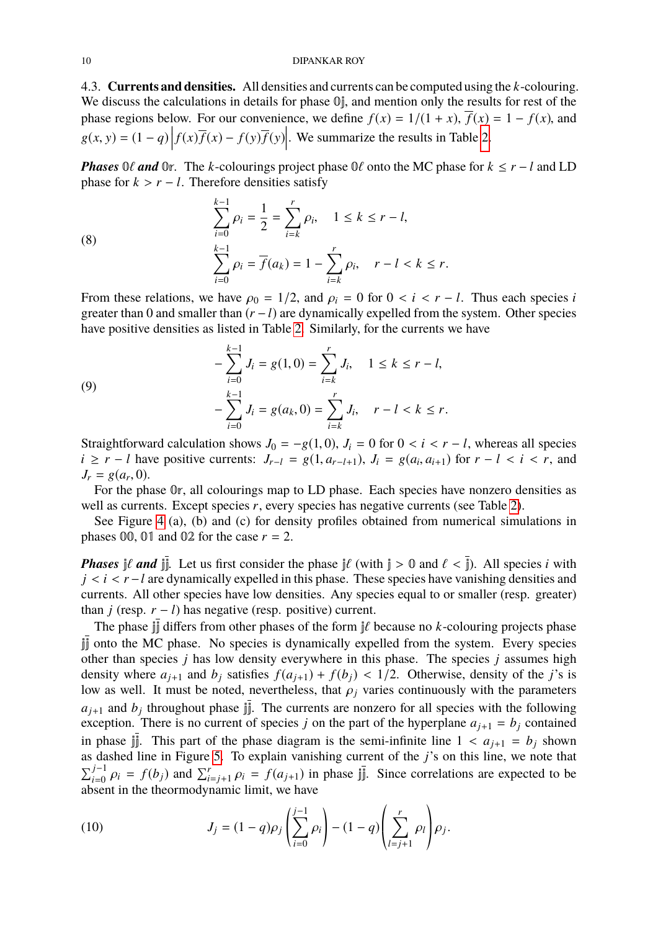4.3. **Currents and densities.** All densities and currents can be computed using the *k*-colouring. We discuss the calculations in details for phase  $\mathbb{O}_I$ , and mention only the results for rest of the phase regions below. For our convenience, we define  $f(x) = 1/(1 + x)$ ,  $\overline{f}(x) = 1 - f(x)$ , and  $g(x, y) = (1 - q) \left| f(x) \overline{f}(x) - f(y) \overline{f}(y) \right|$ . We summarize the results in Table [2.](#page-10-0)

*Phases*  $0\ell$  *and*  $0r$ . The *k*-colourings project phase  $0\ell$  onto the MC phase for  $k \leq r - l$  and LD phase for  $k > r - l$ . Therefore densities satisfy

(8)  

$$
\sum_{i=0}^{k-1} \rho_i = \frac{1}{2} = \sum_{i=k}^r \rho_i, \quad 1 \le k \le r - l,
$$

$$
\sum_{i=0}^{k-1} \rho_i = \overline{f}(a_k) = 1 - \sum_{i=k}^r \rho_i, \quad r - l < k \le r.
$$

From these relations, we have  $\rho_0 = 1/2$ , and  $\rho_i = 0$  for  $0 < i < r - l$ . Thus each species *i* greater than 0 and smaller than (*r* −*l*) are dynamically expelled from the system. Other species have positive densities as listed in Table [2.](#page-10-0) Similarly, for the currents we have

(9)  
\n
$$
-\sum_{i=0}^{k-1} J_i = g(1,0) = \sum_{i=k}^{r} J_i, \quad 1 \le k \le r - l,
$$
\n
$$
-\sum_{i=0}^{k-1} J_i = g(a_k, 0) = \sum_{i=k}^{r} J_i, \quad r - l < k \le r.
$$

Straightforward calculation shows  $J_0 = -g(1, 0)$ ,  $J_i = 0$  for  $0 < i < r - l$ , whereas all species  $i \ge r - l$  have positive currents:  $J_{r-l} = g(1, a_{r-l+1}), J_i = g(a_i, a_{i+1})$  for  $r - l < i < r$ , and  $I_n = g(a_n, 0)$  $J_r = g(a_r, 0)$ .<br>For the ph

For the phase 0r, all colourings map to LD phase. Each species have nonzero densities as well as currents. Except species *r*, every species has negative currents (see Table [2\)](#page-10-0).

See Figure [4](#page-6-0) (a), (b) and (c) for density profiles obtained from numerical simulations in phases  $00$ ,  $01$  and  $02$  for the case  $r = 2$ .

*Phases*  $j\ell$  *and*  $j\bar{j}$ . Let us first consider the phase  $j\ell$  (with  $j > 0$  and  $\ell < \bar{j}$ ). All species *i* with *j* < *i* < *r* − *l* are dynamically expelled in this phase. These species have vanishing densities and currents. All other species have low densities. Any species equal to or smaller (resp. greater) than *j* (resp.  $r - l$ ) has negative (resp. positive) current.

The phase  $\iiint$  differs from other phases of the form  $\iint$  because no *k*-colouring projects phase jj onto the MC phase. No species is dynamically expelled from the system. Every species other than species *j* has low density everywhere in this phase. The species *j* assumes high density where  $a_{j+1}$  and  $b_j$  satisfies  $f(a_{j+1}) + f(b_j) < 1/2$ . Otherwise, density of the *j*'s is low as well. It must be noted, nevertheless, that  $\rho_j$  varies continuously with the parameters  $a_{j+1}$  and  $b_j$  throughout phase jj. The currents are nonzero for all species with the following exception. There is no current of species *j* on the part of the hyperplane  $a_{i+1} = b_i$  contained in phase  $\iiint$ . This part of the phase diagram is the semi-infinite line  $1 < a_{i+1} = b_i$  shown as dashed line in Figure [5.](#page-8-1) To explain vanishing current of the *j*'s on this line, we note that  $\sum_{i=0}^{j-1} \rho_i = f(b_j)$  and  $\sum_{i=j+1}^{r} \rho_i = f(a_{j+1})$  in phase jj. Since correlations are expected to be absent in the theormodynamic limit, we have absent in the theormodynamic limit, we have

(10) 
$$
J_j = (1-q)\rho_j \left( \sum_{i=0}^{j-1} \rho_i \right) - (1-q) \left( \sum_{l=j+1}^r \rho_l \right) \rho_j.
$$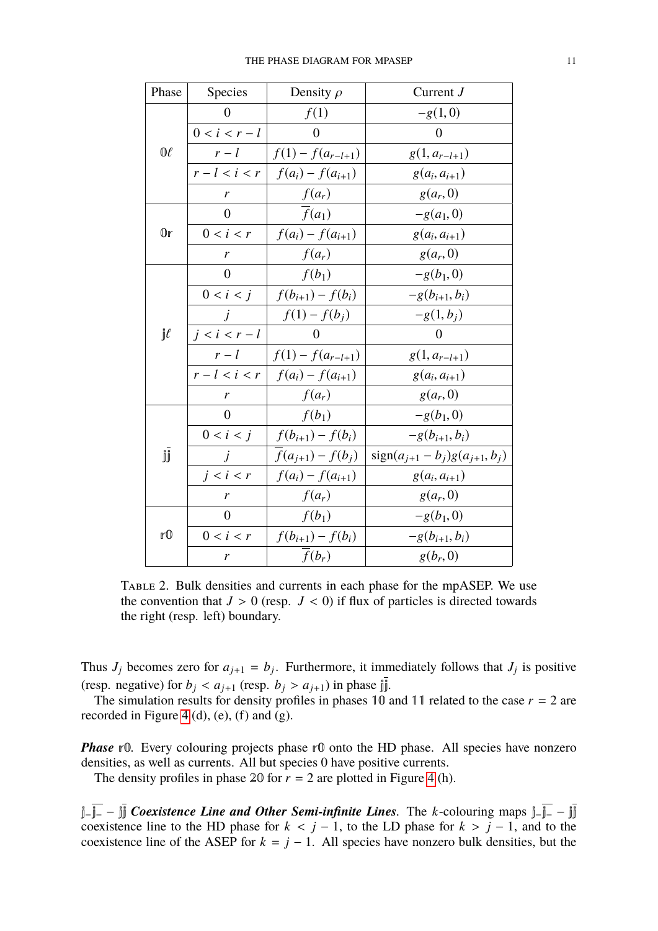| Phase               | Species         | Density $\rho$        | Current $J$                          |
|---------------------|-----------------|-----------------------|--------------------------------------|
| $0\ell$             | $\overline{0}$  | f(1)                  | $-g(1,0)$                            |
|                     | $0 < i < r - l$ | $\overline{0}$        | $\overline{0}$                       |
|                     | $r-l$           | $f(1) - f(a_{r-l+1})$ | $g(1, a_{r-l+1})$                    |
|                     | $r-l < i < r$   | $f(a_i) - f(a_{i+1})$ | $g(a_i, a_{i+1})$                    |
|                     | r               | $f(a_r)$              | $g(a_r, 0)$                          |
| $0\mathbb{r}$       | $\overline{0}$  | $\overline{f}(a_1)$   | $-g(a_1, 0)$                         |
|                     | 0 < i < r       | $f(a_i) - f(a_{i+1})$ | $g(a_i, a_{i+1})$                    |
|                     | r               | $f(a_r)$              | $g(a_r, 0)$                          |
| $\mathbb{I}^{\ell}$ | $\overline{0}$  | $f(b_1)$              | $-g(b_1, 0)$                         |
|                     | 0 < i < j       | $f(b_{i+1}) - f(b_i)$ | $-g(b_{i+1}, b_i)$                   |
|                     | $\dot{J}$       | $f(1) - f(b_i)$       | $-g(1, b_j)$                         |
|                     | $j < i < r - l$ | $\Omega$              | $\theta$                             |
|                     | $r-l$           | $f(1) - f(a_{r-l+1})$ | $g(1, a_{r-l+1})$                    |
|                     | $r-l < i < r$   | $f(a_i) - f(a_{i+1})$ | $g(a_i, a_{i+1})$                    |
|                     | r               | $f(a_r)$              | $g(a_r, 0)$                          |
| jj                  | $\overline{0}$  | $f(b_1)$              | $-g(b_1, 0)$                         |
|                     | $0 < i < j$     | $f(b_{i+1}) - f(b_i)$ | $-g(b_{i+1}, b_i)$                   |
|                     | j               | $f(a_{j+1}) - f(b_j)$ | $sign(a_{j+1} - b_j)g(a_{j+1}, b_j)$ |
|                     | $j < i < r$     | $f(a_i) - f(a_{i+1})$ | $g(a_i, a_{i+1})$                    |
|                     | r               | $f(a_r)$              | $g(a_r, 0)$                          |
| rO                  | $\overline{0}$  | $f(b_1)$              | $-g(b_1, 0)$                         |
|                     | $0 < i < r$     | $f(b_{i+1}) - f(b_i)$ | $-g(b_{i+1}, b_i)$                   |
|                     | r               | $f(b_r)$              | $g(b_r, 0)$                          |

<span id="page-10-0"></span>Table 2. Bulk densities and currents in each phase for the mpASEP. We use the convention that  $J > 0$  (resp.  $J < 0$ ) if flux of particles is directed towards the right (resp. left) boundary.

Thus  $J_j$  becomes zero for  $a_{j+1} = b_j$ . Furthermore, it immediately follows that  $J_j$  is positive (resp. negative) for  $b_j < a_{j+1}$  (resp.  $b_j > a_{j+1}$ ) in phase  $\overline{\mathbf{j}}$ .

The simulation results for density profiles in phases 10 and 11 related to the case  $r = 2$  are recorded in Figure [4](#page-6-0) (d), (e), (f) and (g).

*Phase* r0. Every colouring projects phase r0 onto the HD phase. All species have nonzero densities, as well as currents. All but species 0 have positive currents.

The density profiles in phase 20 for  $r = 2$  are plotted in Figure [4](#page-6-0) (h).

j−j<sup>−</sup> − jj *Coexistence Line and Other Semi-infinite Lines.* The *k*-colouring maps j−j<sup>−</sup> − jj coexistence line to the HD phase for  $k < j - 1$ , to the LD phase for  $k > j - 1$ , and to the coexistence line of the ASEP for  $k = j - 1$ . All species have nonzero bulk densities, but the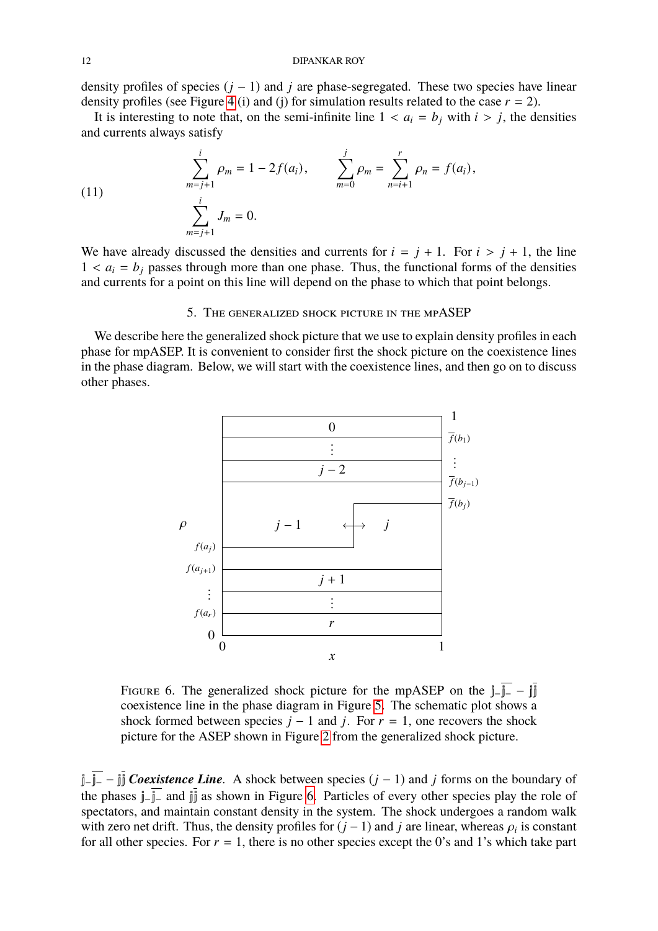density profiles of species  $(j - 1)$  and *j* are phase-segregated. These two species have linear density profiles (see Figure [4](#page-6-0) (i) and (j) for simulation results related to the case  $r = 2$ ).

It is interesting to note that, on the semi-infinite line  $1 < a_i = b_j$  with  $i > j$ , the densities and currents always satisfy

<span id="page-11-2"></span>(11) 
$$
\sum_{m=j+1}^{i} \rho_m = 1 - 2f(a_i), \qquad \sum_{m=0}^{j} \rho_m = \sum_{n=i+1}^{r} \rho_n = f(a_i),
$$

$$
\sum_{m=j+1}^{i} J_m = 0.
$$

We have already discussed the densities and currents for  $i = j + 1$ . For  $i > j + 1$ , the line  $1 < a_i = b_j$  passes through more than one phase. Thus, the functional forms of the densities and currents for a point on this line will depend on the phase to which that point belongs.

## 5. The generalized shock picture in the mpASEP

<span id="page-11-0"></span>We describe here the generalized shock picture that we use to explain density profiles in each phase for mpASEP. It is convenient to consider first the shock picture on the coexistence lines in the phase diagram. Below, we will start with the coexistence lines, and then go on to discuss other phases.



<span id="page-11-1"></span>FIGURE 6. The generalized shock picture for the mpASEP on the  $j-\overline{j-} - j\overline{j}$ coexistence line in the phase diagram in Figure [5.](#page-8-1) The schematic plot shows a shock formed between species  $j - 1$  and  $j$ . For  $r = 1$ , one recovers the shock picture for the ASEP shown in Figure [2](#page-3-1) from the generalized shock picture.

j−j<sup>−</sup> − jj *Coexistence Line.* A shock between species (*j* − 1) and *j* forms on the boundary of the phases j−j<sup>−</sup> and jj as shown in Figure [6.](#page-11-1) Particles of every other species play the role of spectators, and maintain constant density in the system. The shock undergoes a random walk with zero net drift. Thus, the density profiles for  $(j - 1)$  and *j* are linear, whereas  $\rho_i$  is constant for all other species. For  $r = 1$  there is no other species except the 0's and 1's which take part for all other species. For  $r = 1$ , there is no other species except the 0's and 1's which take part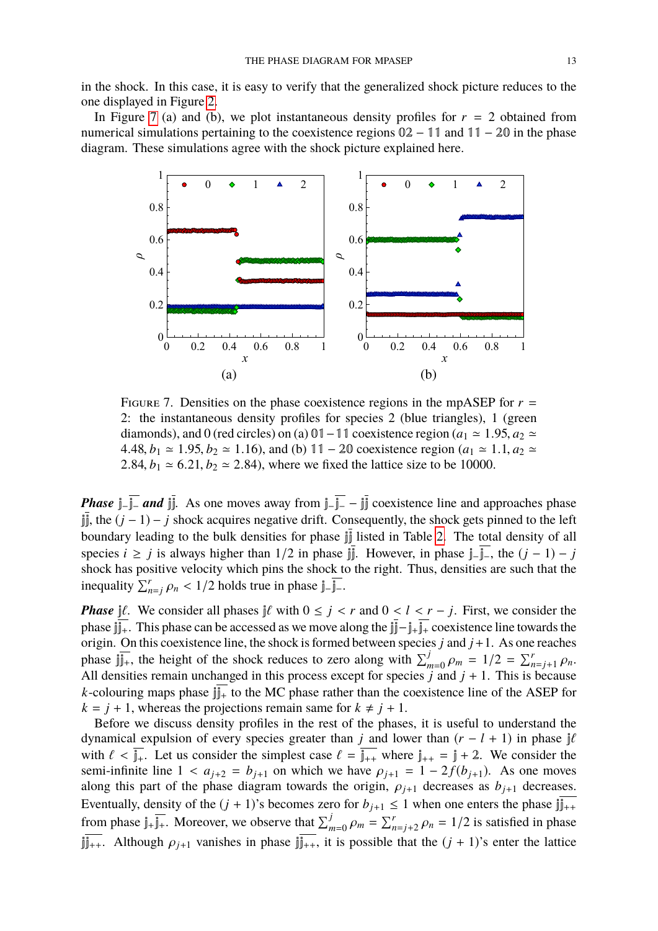in the shock. In this case, it is easy to verify that the generalized shock picture reduces to the one displayed in Figure [2.](#page-3-1)

In Figure [7](#page-12-0) (a) and (b), we plot instantaneous density profiles for  $r = 2$  obtained from numerical simulations pertaining to the coexistence regions 02 − 11 and 11 − 20 in the phase diagram. These simulations agree with the shock picture explained here.



<span id="page-12-0"></span>FIGURE 7. Densities on the phase coexistence regions in the mpASEP for  $r =$ 2: the instantaneous density profiles for species 2 (blue triangles), 1 (green diamonds), and 0 (red circles) on (a) 01 – 11 coexistence region ( $a_1 \approx 1.95$ ,  $a_2 \approx$ 4.48, *b*<sub>1</sub>  $\simeq$  1.95, *b*<sub>2</sub>  $\simeq$  1.16), and (b) 11 − 20 coexistence region (*a*<sub>1</sub>  $\simeq$  1.1, *a*<sub>2</sub>  $\simeq$ 2.84,  $b_1 \approx 6.21, b_2 \approx 2.84$ ), where we fixed the lattice size to be 10000.

*Phase*  $\overline{\mathbf{i} - \mathbf{j} - \mathbf{k}}$  *and*  $\overline{\mathbf{j} \mathbf{j}}$ . As one moves away from  $\overline{\mathbf{i} - \mathbf{j} - \mathbf{j} \mathbf{k}}$  coexistence line and approaches phase  $\overline{\mathbb{I}}$ , the ( $\overline{j}$  − 1) −  $\overline{j}$  shock acquires negative drift. Consequently, the shock gets pinned to the left boundary leading to the bulk densities for phase jj listed in Table [2.](#page-10-0) The total density of all species *i* ≥ *j* is always higher than 1/2 in phase  $\lim_{n \to \infty} \frac{1}{n}$ . However, in phase  $\lim_{n \to \infty} \frac{1}{n}$ , the  $(j - 1) - j$ shock has positive velocity which pins the shock to the right. Thus, densities are such that the inequality  $\sum_{n=j}^{r} \rho_n < 1/2$  holds true in phase  $j = j$ -.

*Phase*  $\frac{1}{2}$ *l*. We consider all phases  $\frac{1}{2}$ *l* with  $0 \leq j < r$  and  $0 < l < r - j$ . First, we consider the phase jj<sub>j+</sub>. This phase can be accessed as we move along the jj $\frac{1}{2} - j_+j_+$  coexistence line towards the origin. On this coexistence line, the shock is formed between species *j* and *j*+1. As one reaches phase  $\lim_{n \to \infty}$ , the height of the shock reduces to zero along with  $\sum_{m=0}^{j} \rho_m = 1/2 = \sum_{n=j+1}^{r} \rho_n$ .<br>All densities remain unchanged in this process except for species *i* and *i* + 1. This is because All densities remain unchanged in this process except for species  $\ddot{j}$  and  $j + 1$ . This is because *k*-colouring maps phase  $\overline{\mathbf{i} + \mathbf{j} + \mathbf{k}}$  to the MC phase rather than the coexistence line of the ASEP for  $k = j + 1$ , whereas the projections remain same for  $k \neq j + 1$ .

Before we discuss density profiles in the rest of the phases, it is useful to understand the dynamical expulsion of every species greater than *j* and lower than  $(r - l + 1)$  in phase j $\ell$ with  $\ell < \overline{\mathbb{I}_{+}}$ . Let us consider the simplest case  $\ell = \overline{\mathbb{I}_{++}}$  where  $\mathbb{I}_{++} = \mathbb{I} + 2$ . We consider the semi-infinite line  $1 < a_{j+2} = b_{j+1}$  on which we have  $\rho_{j+1} = 1 - 2f(b_{j+1})$ . As one moves along this part of the phase diagram towards the origin,  $\rho_{j+1}$  decreases as  $b_{j+1}$  decreases. Eventually, density of the  $(j + 1)$ 's becomes zero for  $b_{j+1} \le 1$  when one enters the phase  $jj_{++}$ from phase  $j_{+}j_{+}$ . Moreover, we observe that  $\sum_{m=0}^{j} \rho_m = \sum_{n=j+2}^{r} \rho_n = 1/2$  is satisfied in phase  $\lim_{n \to \infty}$ . Although  $\rho_{i+1}$  vanishes in phase  $\lim_{n \to \infty}$ , it is possible that the  $(j + 1)$ 's enter the lattice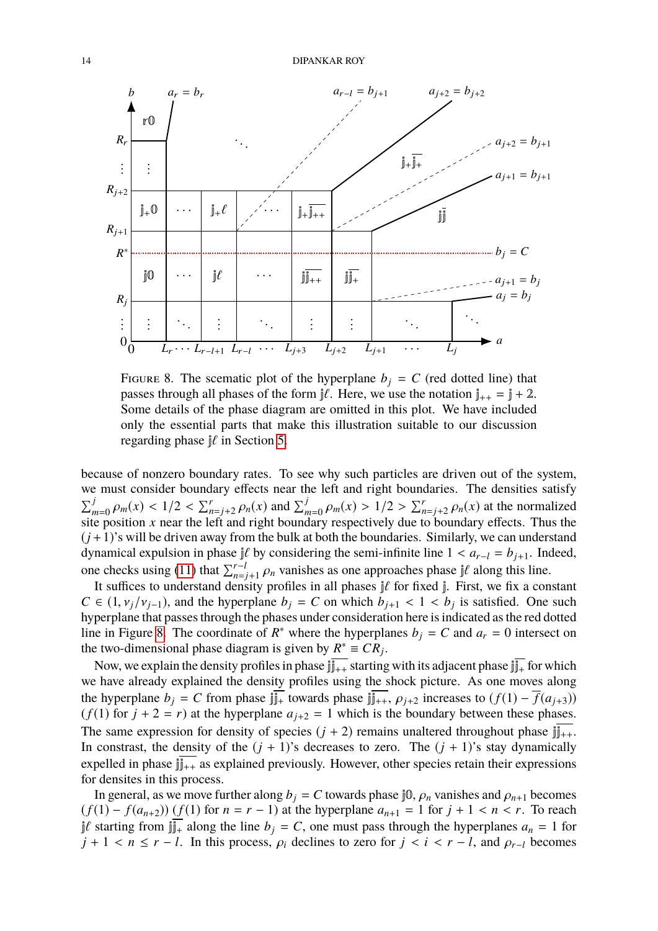

<span id="page-13-0"></span>FIGURE 8. The scematic plot of the hyperplane  $b_j = C$  (red dotted line) that passes through all phases of the form  $\frac{\partial f}{\partial t}$ . Here, we use the notation  $j_{++} = j + 2$ . Some details of the phase diagram are omitted in this plot. We have included only the essential parts that make this illustration suitable to our discussion regarding phase  $\frac{3}{2}$  in Section [5.](#page-11-0)

because of nonzero boundary rates. To see why such particles are driven out of the system, we must consider boundary effects near the left and right boundaries. The densities satisfy  $\sum_{m=0}^{j} \rho_m(x) < 1/2 < \sum_{n=j+2}^{r} \rho_n(x)$  and  $\sum_{m=0}^{j} \rho_m(x) > 1/2 > \sum_{n=j+2}^{r} \rho_n(x)$  at the normalized site position x near the left and right boundary respectively due to boundary effects. Thus the site position *x* near the left and right boundary respectively due to boundary effects. Thus the  $(j+1)$ 's will be driven away from the bulk at both the boundaries. Similarly, we can understand dynamical expulsion in phase  $j\ell$  by considering the semi-infinite line  $1 < a_{r-l} = b_{j+1}$ . Indeed, one checks using [\(11\)](#page-11-2) that  $\sum_{n=j+1}^{r-l} \rho_n$  vanishes as one approaches phase j $\ell$  along this line.<br>It suffices to understand density profiles in all phases if for fixed in First, we fix a con-

It suffices to understand density profiles in all phases  $j\ell$  for fixed  $j$ . First, we fix a constant  $C \in (1, v_j/v_{j-1})$ , and the hyperplane  $b_j = C$  on which  $b_{j+1} < 1 < b_j$  is satisfied. One such hyperplane that passes through the phases under consideration here is indicated as the red dotted hyperplane that passes through the phases under consideration here is indicated as the red dotted line in Figure [8.](#page-13-0) The coordinate of  $R^*$  where the hyperplanes  $b_j = C$  and  $a_r = 0$  intersect on the two-dimensional phase diagram is given by  $R^* \equiv CR_j$ .

Now, we explain the density profiles in phase  $jj_{++}$  starting with its adjacent phase  $jj_{+}$  for which we have already explained the density profiles using the shock picture. As one moves along the hyperplane  $b_j = C$  from phase  $j_{j+1}$  towards phase  $j_{j+1}$ ,  $\rho_{j+2}$  increases to  $(f(1) - f(a_{j+3}))$  $(f(1)$  for  $j + 2 = r$ ) at the hyperplane  $a_{j+2} = 1$  which is the boundary between these phases. The same expression for density of species  $(j + 2)$  remains unaltered throughout phase  $jj_{++}$ . In constrast, the density of the  $(j + 1)$ 's decreases to zero. The  $(j + 1)$ 's stay dynamically expelled in phase  $\frac{1}{\|u\|_{H+1}}$  as explained previously. However, other species retain their expressions for densites in this process.

In general, as we move further along  $b_j = C$  towards phase j0,  $\rho_n$  vanishes and  $\rho_{n+1}$  becomes  $(f(1) - f(a_{n+2})) (f(1) \text{ for } n = r - 1)$  at the hyperplane  $a_{n+1} = 1$  for  $j + 1 < n < r$ . To reach  $j\ell$  starting from  $j\bar{j_+}$  along the line  $b_j = C$ , one must pass through the hyperplanes  $a_n = 1$  for  $j + 1 < n \leq r - l$ . In this process,  $\rho_i$  declines to zero for  $j < i < r - l$ , and  $\rho_{r-1}$  becomes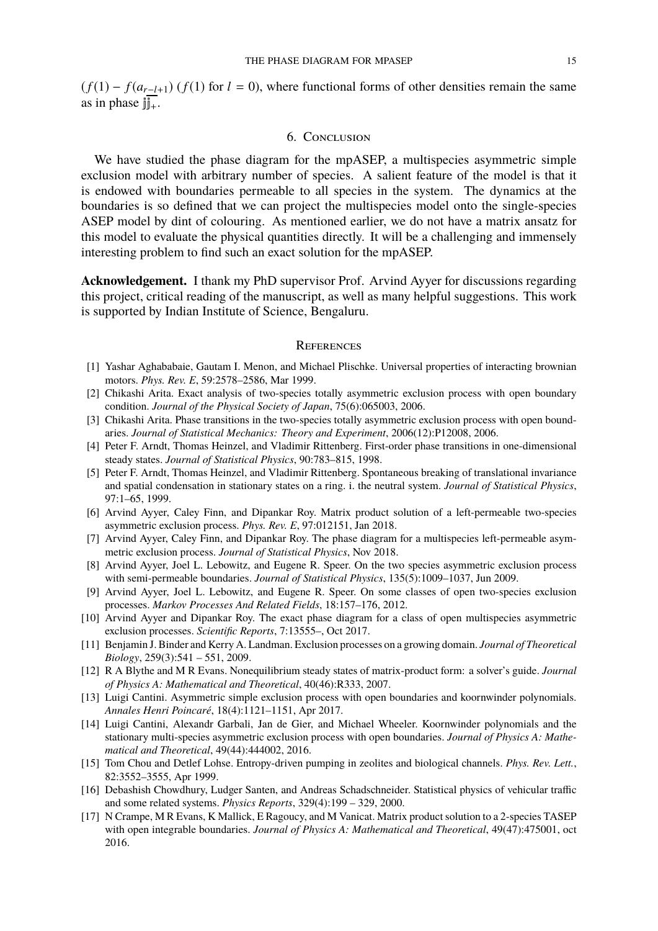$(f(1) - f(a_{r-l+1})$  ( $f(1)$  for  $l = 0$ ), where functional forms of other densities remain the same as in phase  $\overline{\mathbb{I}^+}$ .

#### 6. Conclusion

We have studied the phase diagram for the mpASEP, a multispecies asymmetric simple exclusion model with arbitrary number of species. A salient feature of the model is that it is endowed with boundaries permeable to all species in the system. The dynamics at the boundaries is so defined that we can project the multispecies model onto the single-species ASEP model by dint of colouring. As mentioned earlier, we do not have a matrix ansatz for this model to evaluate the physical quantities directly. It will be a challenging and immensely interesting problem to find such an exact solution for the mpASEP.

**Acknowledgement.** I thank my PhD supervisor Prof. Arvind Ayyer for discussions regarding this project, critical reading of the manuscript, as well as many helpful suggestions. This work is supported by Indian Institute of Science, Bengaluru.

#### **REFERENCES**

- <span id="page-14-10"></span>[1] Yashar Aghababaie, Gautam I. Menon, and Michael Plischke. Universal properties of interacting brownian motors. *Phys. Rev. E*, 59:2578–2586, Mar 1999.
- <span id="page-14-3"></span>[2] Chikashi Arita. Exact analysis of two-species totally asymmetric exclusion process with open boundary condition. *Journal of the Physical Society of Japan*, 75(6):065003, 2006.
- <span id="page-14-4"></span>[3] Chikashi Arita. Phase transitions in the two-species totally asymmetric exclusion process with open boundaries. *Journal of Statistical Mechanics: Theory and Experiment*, 2006(12):P12008, 2006.
- <span id="page-14-1"></span>[4] Peter F. Arndt, Thomas Heinzel, and Vladimir Rittenberg. First-order phase transitions in one-dimensional steady states. *Journal of Statistical Physics*, 90:783–815, 1998.
- <span id="page-14-2"></span>[5] Peter F. Arndt, Thomas Heinzel, and Vladimir Rittenberg. Spontaneous breaking of translational invariance and spatial condensation in stationary states on a ring. i. the neutral system. *Journal of Statistical Physics*, 97:1–65, 1999.
- <span id="page-14-8"></span>[6] Arvind Ayyer, Caley Finn, and Dipankar Roy. Matrix product solution of a left-permeable two-species asymmetric exclusion process. *Phys. Rev. E*, 97:012151, Jan 2018.
- <span id="page-14-16"></span>[7] Arvind Ayyer, Caley Finn, and Dipankar Roy. The phase diagram for a multispecies left-permeable asymmetric exclusion process. *Journal of Statistical Physics*, Nov 2018.
- <span id="page-14-5"></span>[8] Arvind Ayyer, Joel L. Lebowitz, and Eugene R. Speer. On the two species asymmetric exclusion process with semi-permeable boundaries. *Journal of Statistical Physics*, 135(5):1009–1037, Jun 2009.
- <span id="page-14-7"></span>[9] Arvind Ayyer, Joel L. Lebowitz, and Eugene R. Speer. On some classes of open two-species exclusion processes. *Markov Processes And Related Fields*, 18:157–176, 2012.
- <span id="page-14-15"></span>[10] Arvind Ayyer and Dipankar Roy. The exact phase diagram for a class of open multispecies asymmetric exclusion processes. *Scientific Reports*, 7:13555–, Oct 2017.
- <span id="page-14-11"></span>[11] Benjamin J. Binder and Kerry A. Landman. Exclusion processes on a growing domain. *Journal of Theoretical Biology*, 259(3):541 – 551, 2009.
- <span id="page-14-0"></span>[12] R A Blythe and M R Evans. Nonequilibrium steady states of matrix-product form: a solver's guide. *Journal of Physics A: Mathematical and Theoretical*, 40(46):R333, 2007.
- <span id="page-14-6"></span>[13] Luigi Cantini. Asymmetric simple exclusion process with open boundaries and koornwinder polynomials. *Annales Henri Poincaré*, 18(4):1121–1151, Apr 2017.
- <span id="page-14-14"></span>[14] Luigi Cantini, Alexandr Garbali, Jan de Gier, and Michael Wheeler. Koornwinder polynomials and the stationary multi-species asymmetric exclusion process with open boundaries. *Journal of Physics A: Mathematical and Theoretical*, 49(44):444002, 2016.
- <span id="page-14-12"></span>[15] Tom Chou and Detlef Lohse. Entropy-driven pumping in zeolites and biological channels. *Phys. Rev. Lett.*, 82:3552–3555, Apr 1999.
- <span id="page-14-13"></span>[16] Debashish Chowdhury, Ludger Santen, and Andreas Schadschneider. Statistical physics of vehicular traffic and some related systems. *Physics Reports*, 329(4):199 – 329, 2000.
- <span id="page-14-9"></span>[17] N Crampe, M R Evans, K Mallick, E Ragoucy, and M Vanicat. Matrix product solution to a 2-species TASEP with open integrable boundaries. *Journal of Physics A: Mathematical and Theoretical*, 49(47):475001, oct 2016.